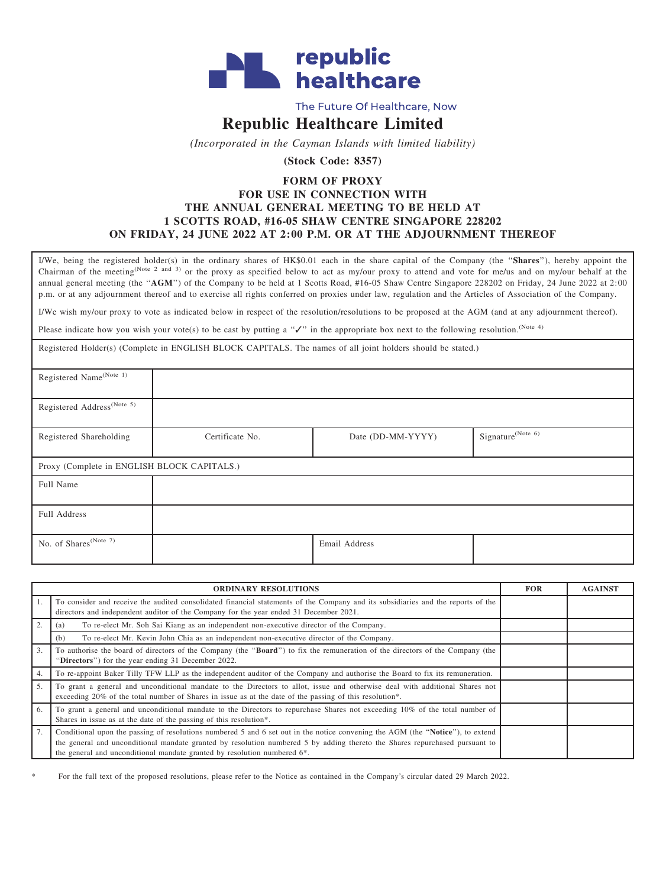

## The Future Of Healthcare, Now

## Republic Healthcare Limited

(Incorporated in the Cayman Islands with limited liability)

(Stock Code: 8357)

## FORM OF PROXY

## FOR USE IN CONNECTION WITH THE ANNUAL GENERAL MEETING TO BE HELD AT 1 SCOTTS ROAD, #16-05 SHAW CENTRE SINGAPORE 228202 ON FRIDAY, 24 JUNE 2022 AT 2:00 P.M. OR AT THE ADJOURNMENT THEREOF

I/We, being the registered holder(s) in the ordinary shares of HK\$0.01 each in the share capital of the Company (the "Shares"), hereby appoint the Chairman of the meeting<sup>(Note 2 and 3)</sup> or the proxy as specified below to act as my/our proxy to attend and vote for me/us and on my/our behalf at the annual general meeting (the ''AGM'') of the Company to be held at 1 Scotts Road, #16-05 Shaw Centre Singapore 228202 on Friday, 24 June 2022 at 2:00 p.m. or at any adjournment thereof and to exercise all rights conferred on proxies under law, regulation and the Articles of Association of the Company.

I/We wish my/our proxy to vote as indicated below in respect of the resolution/resolutions to be proposed at the AGM (and at any adjournment thereof).

Please indicate how you wish your vote(s) to be cast by putting a "✓" in the appropriate box next to the following resolution.<sup>(Note 4)</sup>

Registered Holder(s) (Complete in ENGLISH BLOCK CAPITALS. The names of all joint holders should be stated.)

| Registered Name <sup>(Note 1)</sup>         |                 |                   |                               |  |
|---------------------------------------------|-----------------|-------------------|-------------------------------|--|
|                                             |                 |                   |                               |  |
| Registered Address <sup>(Note 5)</sup>      |                 |                   |                               |  |
|                                             |                 |                   |                               |  |
| Registered Shareholding                     | Certificate No. | Date (DD-MM-YYYY) | Signature <sup>(Note 6)</sup> |  |
|                                             |                 |                   |                               |  |
|                                             |                 |                   |                               |  |
| Proxy (Complete in ENGLISH BLOCK CAPITALS.) |                 |                   |                               |  |
| Full Name                                   |                 |                   |                               |  |
|                                             |                 |                   |                               |  |
|                                             |                 |                   |                               |  |
| Full Address                                |                 |                   |                               |  |
|                                             |                 |                   |                               |  |
|                                             |                 |                   |                               |  |
| No. of Shares <sup>(Note 7)</sup>           |                 | Email Address     |                               |  |
|                                             |                 |                   |                               |  |

| <b>ORDINARY RESOLUTIONS</b> |                                                                                                                                                                                                                                                                                                                                                        |  | <b>AGAINST</b> |
|-----------------------------|--------------------------------------------------------------------------------------------------------------------------------------------------------------------------------------------------------------------------------------------------------------------------------------------------------------------------------------------------------|--|----------------|
| 1.                          | To consider and receive the audited consolidated financial statements of the Company and its subsidiaries and the reports of the<br>directors and independent auditor of the Company for the year ended 31 December 2021.                                                                                                                              |  |                |
| 2.                          | To re-elect Mr. Soh Sai Kiang as an independent non-executive director of the Company.<br>(a)                                                                                                                                                                                                                                                          |  |                |
|                             | To re-elect Mr. Kevin John Chia as an independent non-executive director of the Company.<br>(b)                                                                                                                                                                                                                                                        |  |                |
| 3.                          | To authorise the board of directors of the Company (the "Board") to fix the remuneration of the directors of the Company (the<br>"Directors") for the year ending 31 December 2022.                                                                                                                                                                    |  |                |
| 4.                          | To re-appoint Baker Tilly TFW LLP as the independent auditor of the Company and authorise the Board to fix its remuneration.                                                                                                                                                                                                                           |  |                |
| 5.                          | To grant a general and unconditional mandate to the Directors to allot, issue and otherwise deal with additional Shares not<br>exceeding 20% of the total number of Shares in issue as at the date of the passing of this resolution*.                                                                                                                 |  |                |
| 6.                          | To grant a general and unconditional mandate to the Directors to repurchase Shares not exceeding 10% of the total number of<br>Shares in issue as at the date of the passing of this resolution*.                                                                                                                                                      |  |                |
| 7.                          | Conditional upon the passing of resolutions numbered 5 and 6 set out in the notice convening the AGM (the "Notice"), to extend<br>the general and unconditional mandate granted by resolution numbered 5 by adding thereto the Shares repurchased pursuant to<br>the general and unconditional mandate granted by resolution numbered 6 <sup>*</sup> . |  |                |

\* For the full text of the proposed resolutions, please refer to the Notice as contained in the Company's circular dated 29 March 2022.